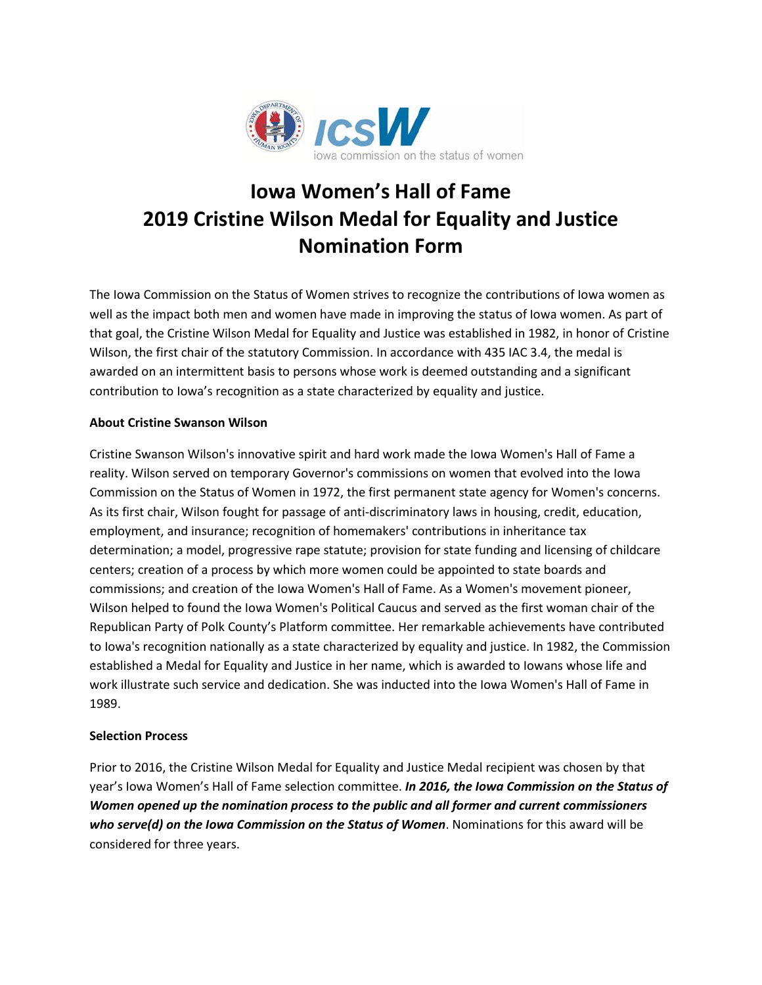

# **Iowa Women's Hall of Fame 2019 Cristine Wilson Medal for Equality and Justice Nomination Form**

The Iowa Commission on the Status of Women strives to recognize the contributions of Iowa women as well as the impact both men and women have made in improving the status of Iowa women. As part of that goal, the Cristine Wilson Medal for Equality and Justice was established in 1982, in honor of Cristine Wilson, the first chair of the statutory Commission. In accordance with 435 IAC 3.4, the medal is awarded on an intermittent basis to persons whose work is deemed outstanding and a significant contribution to Iowa's recognition as a state characterized by equality and justice.

# **About Cristine Swanson Wilson**

Cristine Swanson Wilson's innovative spirit and hard work made the Iowa Women's Hall of Fame a reality. Wilson served on temporary Governor's commissions on women that evolved into the Iowa Commission on the Status of Women in 1972, the first permanent state agency for Women's concerns. As its first chair, Wilson fought for passage of anti-discriminatory laws in housing, credit, education, employment, and insurance; recognition of homemakers' contributions in inheritance tax determination; a model, progressive rape statute; provision for state funding and licensing of childcare centers; creation of a process by which more women could be appointed to state boards and commissions; and creation of the Iowa Women's Hall of Fame. As a Women's movement pioneer, Wilson helped to found the Iowa Women's Political Caucus and served as the first woman chair of the Republican Party of Polk County's Platform committee. Her remarkable achievements have contributed to Iowa's recognition nationally as a state characterized by equality and justice. In 1982, the Commission established a Medal for Equality and Justice in her name, which is awarded to Iowans whose life and work illustrate such service and dedication. She was inducted into the Iowa Women's Hall of Fame in 1989.

## **Selection Process**

Prior to 2016, the Cristine Wilson Medal for Equality and Justice Medal recipient was chosen by that year's Iowa Women's Hall of Fame selection committee. *In 2016, the Iowa Commission on the Status of Women opened up the nomination process to the public and all former and current commissioners who serve(d) on the Iowa Commission on the Status of Women*. Nominations for this award will be considered for three years.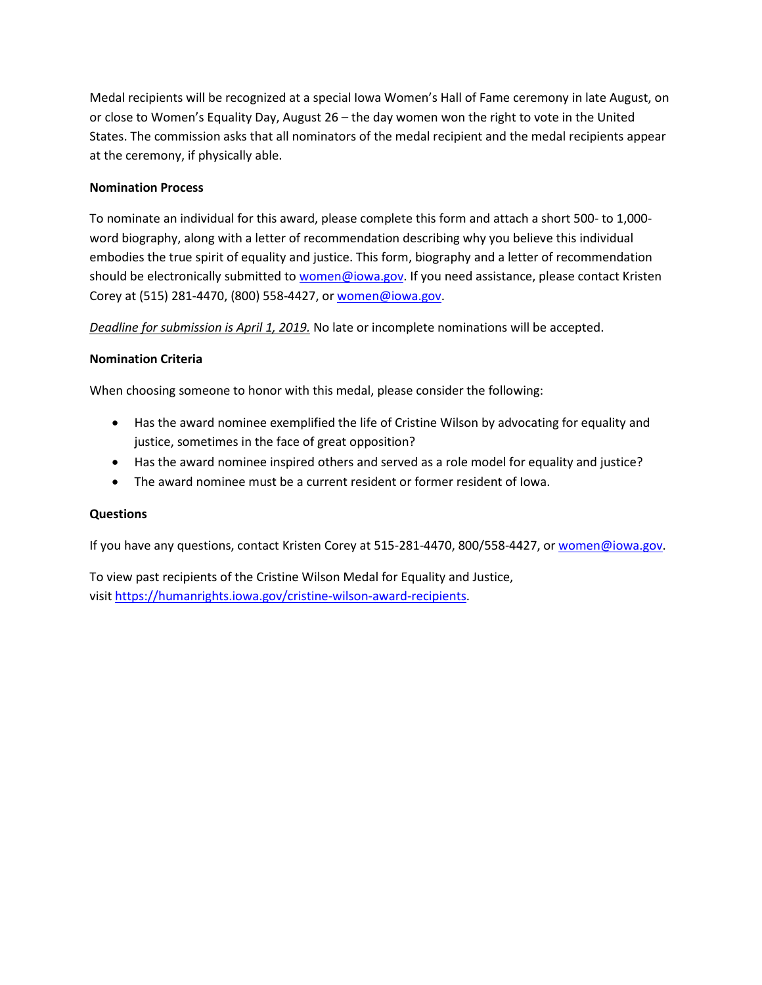Medal recipients will be recognized at a special Iowa Women's Hall of Fame ceremony in late August, on or close to Women's Equality Day, August 26 – the day women won the right to vote in the United States. The commission asks that all nominators of the medal recipient and the medal recipients appear at the ceremony, if physically able.

# **Nomination Process**

To nominate an individual for this award, please complete this form and attach a short 500- to 1,000 word biography, along with a letter of recommendation describing why you believe this individual embodies the true spirit of equality and justice. This form, biography and a letter of recommendation should be electronically submitted t[o women@iowa.gov.](mailto:women@iowa.gov) If you need assistance, please contact Kristen Corey at (515) 281-4470, (800) 558-4427, or [women@iowa.gov.](mailto:women@iowa.gov)

*Deadline for submission is April 1, 2019.* No late or incomplete nominations will be accepted.

# **Nomination Criteria**

When choosing someone to honor with this medal, please consider the following:

- Has the award nominee exemplified the life of Cristine Wilson by advocating for equality and justice, sometimes in the face of great opposition?
- Has the award nominee inspired others and served as a role model for equality and justice?
- The award nominee must be a current resident or former resident of Iowa.

## **Questions**

If you have any questions, contact Kristen Corey at 515-281-4470, 800/558-4427, or [women@iowa.gov.](mailto:women@iowa.gov)

To view past recipients of the Cristine Wilson Medal for Equality and Justice, visi[t https://humanrights.iowa.gov/cristine-wilson-award-recipients.](https://humanrights.iowa.gov/cristine-wilson-award-recipients)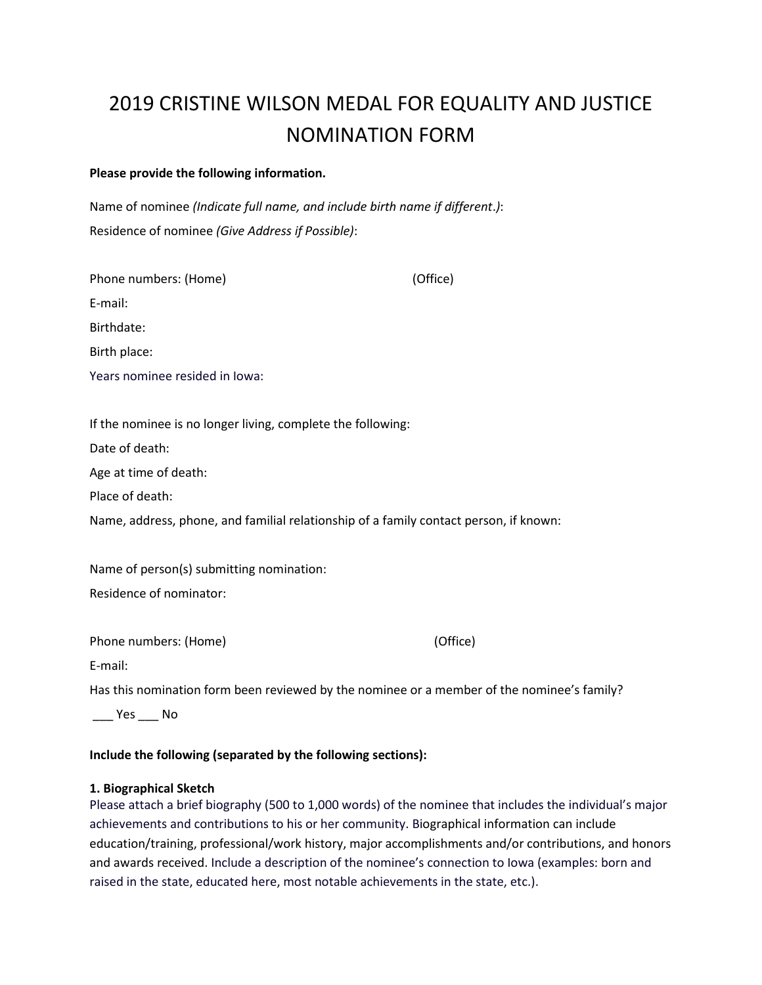# 2019 CRISTINE WILSON MEDAL FOR EQUALITY AND JUSTICE NOMINATION FORM

#### **Please provide the following information.**

Name of nominee *(Indicate full name, and include birth name if different*.*)*: Residence of nominee *(Give Address if Possible)*:

| Phone numbers: (Home)                                                                 | (Office) |
|---------------------------------------------------------------------------------------|----------|
| E-mail:                                                                               |          |
| Birthdate:                                                                            |          |
| Birth place:                                                                          |          |
| Years nominee resided in Iowa:                                                        |          |
|                                                                                       |          |
| If the nominee is no longer living, complete the following:                           |          |
| Date of death:                                                                        |          |
| Age at time of death:                                                                 |          |
| Place of death:                                                                       |          |
| Name, address, phone, and familial relationship of a family contact person, if known: |          |
| Name of person(s) submitting nomination:                                              |          |
| Residence of nominator:                                                               |          |
| Phone numbers: (Home)                                                                 | (Office) |
| <b>CONTRACTOR</b>                                                                     |          |

E-mail:

Has this nomination form been reviewed by the nominee or a member of the nominee's family?

\_\_\_ Yes \_\_\_ No

## **Include the following (separated by the following sections):**

## **1. Biographical Sketch**

Please attach a brief biography (500 to 1,000 words) of the nominee that includes the individual's major achievements and contributions to his or her community. Biographical information can include education/training, professional/work history, major accomplishments and/or contributions, and honors and awards received. Include a description of the nominee's connection to Iowa (examples: born and raised in the state, educated here, most notable achievements in the state, etc.).